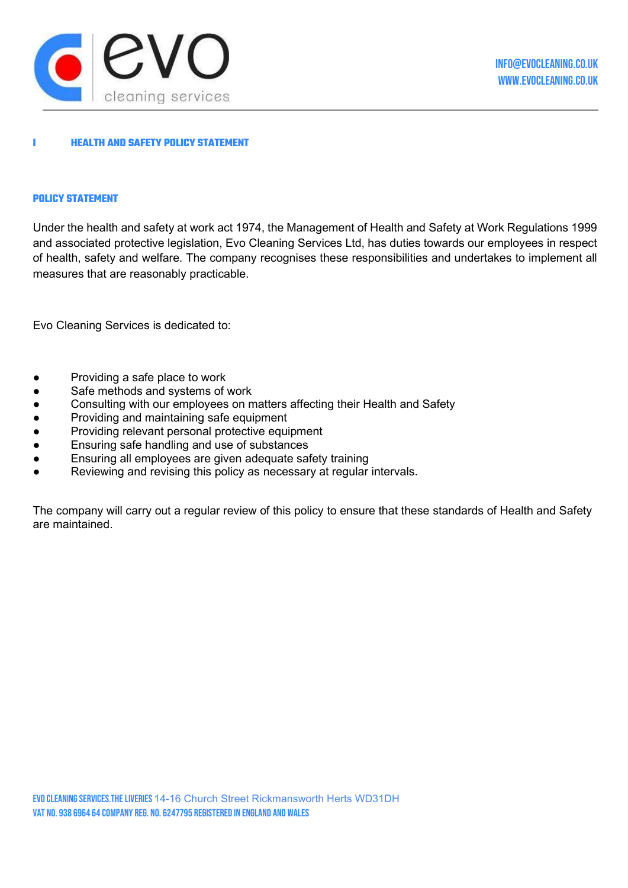

# **HEALTH AND SAFETY POLICY STATEMENT**

#### POLICY STATEMENT

Under the health and safety at work act 1974, the Management of Health and Safety at Work Regulations 1999 and associated protective legislation, Evo Cleaning Services Ltd, has duties towards our employees in respect of health, safety and welfare. The company recognises these responsibilities and undertakes to implement all measures that are reasonably practicable.

Evo Cleaning Services is dedicated to:

- Providing a safe place to work
- Safe methods and systems of work
- Consulting with our employees on matters affecting their Health and Safety
- Providing and maintaining safe equipment
- Providing relevant personal protective equipment
- Ensuring safe handling and use of substances
- Ensuring all employees are given adequate safety training
- Reviewing and revising this policy as necessary at regular intervals.

The company will carry out a regular review of this policy to ensure that these standards of Health and Safety are maintained.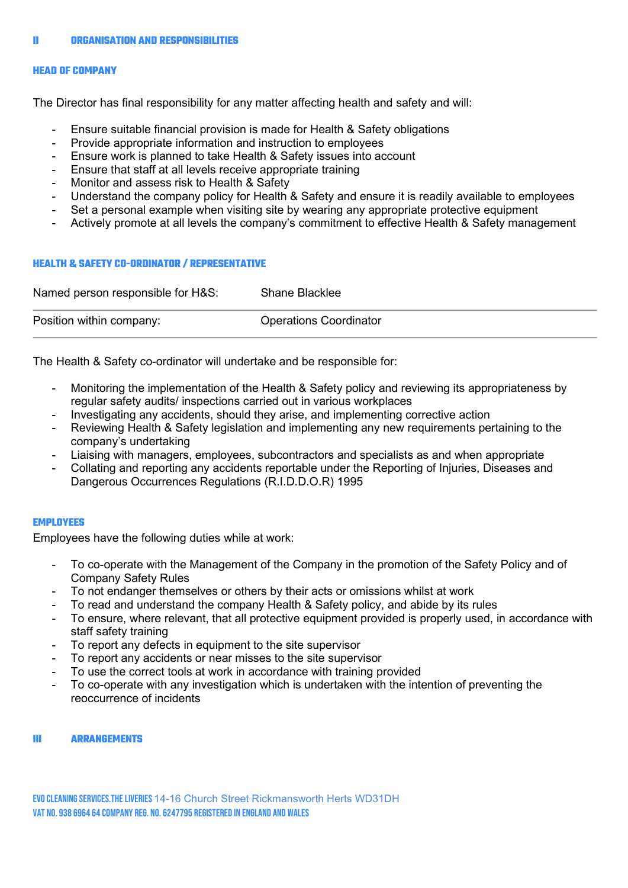#### HEAD OF COMPANY

The Director has final responsibility for any matter affecting health and safety and will:

- Ensure suitable financial provision is made for Health & Safety obligations
- Provide appropriate information and instruction to employees
- Ensure work is planned to take Health & Safety issues into account
- Ensure that staff at all levels receive appropriate training
- Monitor and assess risk to Health & Safety
- Understand the company policy for Health & Safety and ensure it is readily available to employees
- Set a personal example when visiting site by wearing any appropriate protective equipment
- Actively promote at all levels the company's commitment to effective Health & Safety management

#### HEALTH & SAFETY CO-ORDINATOR / REPRESENTATIVE

| Named person responsible for H&S: | Shane Blacklee                |
|-----------------------------------|-------------------------------|
| Position within company:          | <b>Operations Coordinator</b> |

The Health & Safety co-ordinator will undertake and be responsible for:

- Monitoring the implementation of the Health & Safety policy and reviewing its appropriateness by regular safety audits/ inspections carried out in various workplaces
- Investigating any accidents, should they arise, and implementing corrective action
- Reviewing Health & Safety legislation and implementing any new requirements pertaining to the company's undertaking
- Liaising with managers, employees, subcontractors and specialists as and when appropriate
- Collating and reporting any accidents reportable under the Reporting of Injuries, Diseases and Dangerous Occurrences Regulations (R.I.D.D.O.R) 1995

#### **EMPLOYEES**

Employees have the following duties while at work:

- To co-operate with the Management of the Company in the promotion of the Safety Policy and of Company Safety Rules
- To not endanger themselves or others by their acts or omissions whilst at work
- To read and understand the company Health & Safety policy, and abide by its rules
- To ensure, where relevant, that all protective equipment provided is properly used, in accordance with staff safety training
- To report any defects in equipment to the site supervisor
- To report any accidents or near misses to the site supervisor
- To use the correct tools at work in accordance with training provided
- To co-operate with any investigation which is undertaken with the intention of preventing the reoccurrence of incidents

### III ARRANGEMENTS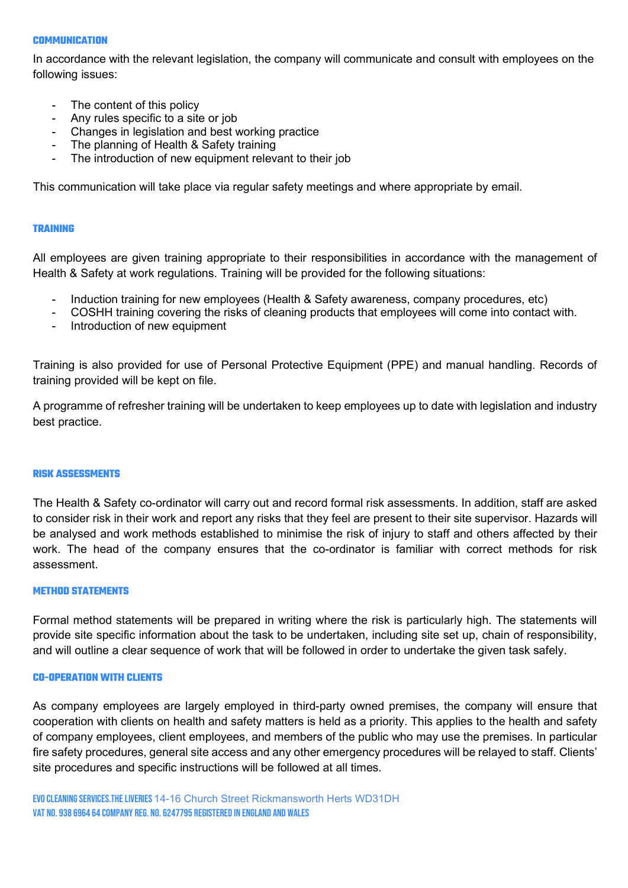## **COMMUNICATION**

In accordance with the relevant legislation, the company will communicate and consult with employees on the following issues:

- The content of this policy
- Any rules specific to a site or job
- Changes in legislation and best working practice
- The planning of Health & Safety training
- The introduction of new equipment relevant to their job

This communication will take place via regular safety meetings and where appropriate by email.

## TRAINING

All employees are given training appropriate to their responsibilities in accordance with the management of Health & Safety at work regulations. Training will be provided for the following situations:

- Induction training for new employees (Health & Safety awareness, company procedures, etc)
- COSHH training covering the risks of cleaning products that employees will come into contact with.
- Introduction of new equipment

Training is also provided for use of Personal Protective Equipment (PPE) and manual handling. Records of training provided will be kept on file.

A programme of refresher training will be undertaken to keep employees up to date with legislation and industry best practice.

#### RISK ASSESSMENTS

The Health & Safety co-ordinator will carry out and record formal risk assessments. In addition, staff are asked to consider risk in their work and report any risks that they feel are present to their site supervisor. Hazards will be analysed and work methods established to minimise the risk of injury to staff and others affected by their work. The head of the company ensures that the co-ordinator is familiar with correct methods for risk assessment.

### METHOD STATEMENTS

Formal method statements will be prepared in writing where the risk is particularly high. The statements will provide site specific information about the task to be undertaken, including site set up, chain of responsibility, and will outline a clear sequence of work that will be followed in order to undertake the given task safely.

### CO-OPERATION WITH CLIENTS

As company employees are largely employed in third-party owned premises, the company will ensure that cooperation with clients on health and safety matters is held as a priority. This applies to the health and safety of company employees, client employees, and members of the public who may use the premises. In particular fire safety procedures, general site access and any other emergency procedures will be relayed to staff. Clients' site procedures and specific instructions will be followed at all times.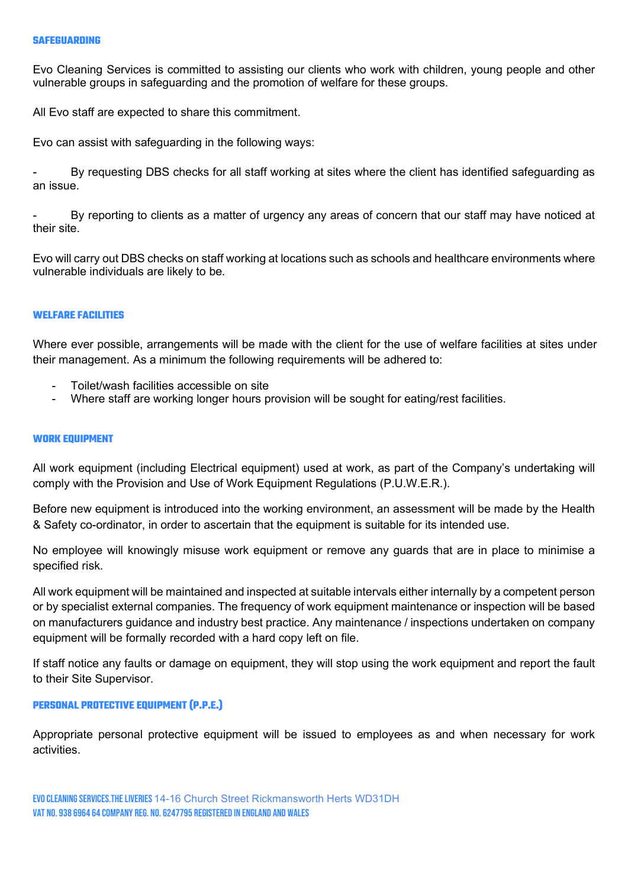Evo Cleaning Services is committed to assisting our clients who work with children, young people and other vulnerable groups in safeguarding and the promotion of welfare for these groups.

All Evo staff are expected to share this commitment.

Evo can assist with safeguarding in the following ways:

By requesting DBS checks for all staff working at sites where the client has identified safeguarding as an issue.

By reporting to clients as a matter of urgency any areas of concern that our staff may have noticed at their site.

Evo will carry out DBS checks on staff working at locations such as schools and healthcare environments where vulnerable individuals are likely to be.

# WELFARE FACILITIES

Where ever possible, arrangements will be made with the client for the use of welfare facilities at sites under their management. As a minimum the following requirements will be adhered to:

- Toilet/wash facilities accessible on site
- Where staff are working longer hours provision will be sought for eating/rest facilities.

### WORK EQUIPMENT

All work equipment (including Electrical equipment) used at work, as part of the Company's undertaking will comply with the Provision and Use of Work Equipment Regulations (P.U.W.E.R.).

Before new equipment is introduced into the working environment, an assessment will be made by the Health & Safety co-ordinator, in order to ascertain that the equipment is suitable for its intended use.

No employee will knowingly misuse work equipment or remove any guards that are in place to minimise a specified risk.

All work equipment will be maintained and inspected at suitable intervals either internally by a competent person or by specialist external companies. The frequency of work equipment maintenance or inspection will be based on manufacturers guidance and industry best practice. Any maintenance / inspections undertaken on company equipment will be formally recorded with a hard copy left on file.

If staff notice any faults or damage on equipment, they will stop using the work equipment and report the fault to their Site Supervisor.

## PERSONAL PROTECTIVE EQUIPMENT (P.P.E.)

Appropriate personal protective equipment will be issued to employees as and when necessary for work activities.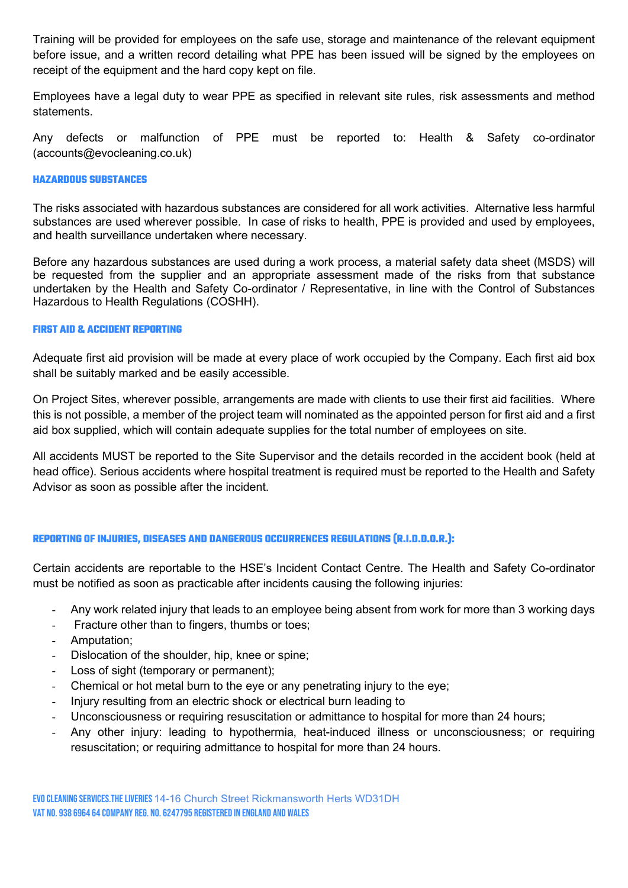Training will be provided for employees on the safe use, storage and maintenance of the relevant equipment before issue, and a written record detailing what PPE has been issued will be signed by the employees on receipt of the equipment and the hard copy kept on file.

Employees have a legal duty to wear PPE as specified in relevant site rules, risk assessments and method statements.

Any defects or malfunction of PPE must be reported to: Health & Safety co-ordinator (accounts@evocleaning.co.uk)

# HAZARDOUS SUBSTANCES

The risks associated with hazardous substances are considered for all work activities. Alternative less harmful substances are used wherever possible. In case of risks to health, PPE is provided and used by employees, and health surveillance undertaken where necessary.

Before any hazardous substances are used during a work process, a material safety data sheet (MSDS) will be requested from the supplier and an appropriate assessment made of the risks from that substance undertaken by the Health and Safety Co-ordinator / Representative, in line with the Control of Substances Hazardous to Health Regulations (COSHH).

## FIRST AID & ACCIDENT REPORTING

Adequate first aid provision will be made at every place of work occupied by the Company. Each first aid box shall be suitably marked and be easily accessible.

On Project Sites, wherever possible, arrangements are made with clients to use their first aid facilities. Where this is not possible, a member of the project team will nominated as the appointed person for first aid and a first aid box supplied, which will contain adequate supplies for the total number of employees on site.

All accidents MUST be reported to the Site Supervisor and the details recorded in the accident book (held at head office). Serious accidents where hospital treatment is required must be reported to the Health and Safety Advisor as soon as possible after the incident.

# REPORTING OF INJURIES, DISEASES AND DANGEROUS OCCURRENCES REGULATIONS (R.I.D.D.O.R.):

Certain accidents are reportable to the HSE's Incident Contact Centre. The Health and Safety Co-ordinator must be notified as soon as practicable after incidents causing the following injuries:

- Any work related injury that leads to an employee being absent from work for more than 3 working days
- Fracture other than to fingers, thumbs or toes;
- Amputation;
- Dislocation of the shoulder, hip, knee or spine;
- Loss of sight (temporary or permanent);
- Chemical or hot metal burn to the eye or any penetrating injury to the eye;
- Injury resulting from an electric shock or electrical burn leading to
- Unconsciousness or requiring resuscitation or admittance to hospital for more than 24 hours;
- Any other injury: leading to hypothermia, heat-induced illness or unconsciousness; or requiring resuscitation; or requiring admittance to hospital for more than 24 hours.